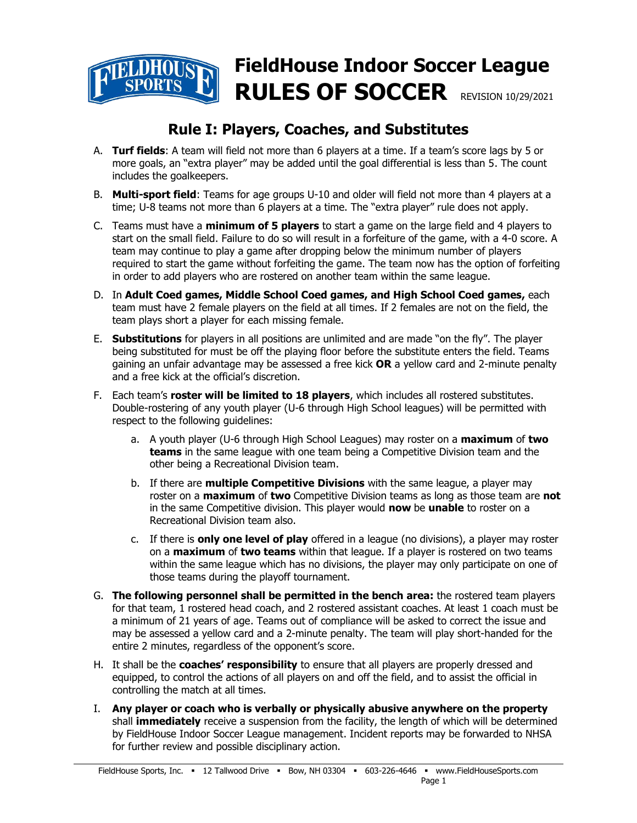# **FieldHouse Indoor Soccer League RULES OF SOCCER** REVISION 10/29/2021

# **Rule I: Players, Coaches, and Substitutes**

- A. **Turf fields**: A team will field not more than 6 players at a time. If a team's score lags by 5 or more goals, an "extra player" may be added until the goal differential is less than 5. The count includes the goalkeepers.
- B. **Multi-sport field**: Teams for age groups U-10 and older will field not more than 4 players at a time; U-8 teams not more than 6 players at a time. The "extra player" rule does not apply.
- C. Teams must have a **minimum of 5 players** to start a game on the large field and 4 players to start on the small field. Failure to do so will result in a forfeiture of the game, with a 4-0 score. A team may continue to play a game after dropping below the minimum number of players required to start the game without forfeiting the game. The team now has the option of forfeiting in order to add players who are rostered on another team within the same league.
- D. In **Adult Coed games, Middle School Coed games, and High School Coed games,** each team must have 2 female players on the field at all times. If 2 females are not on the field, the team plays short a player for each missing female.
- E. **Substitutions** for players in all positions are unlimited and are made "on the fly". The player being substituted for must be off the playing floor before the substitute enters the field. Teams gaining an unfair advantage may be assessed a free kick **OR** a yellow card and 2-minute penalty and a free kick at the official's discretion.
- F. Each team's **roster will be limited to 18 players**, which includes all rostered substitutes. Double-rostering of any youth player (U-6 through High School leagues) will be permitted with respect to the following guidelines:
	- a. A youth player (U-6 through High School Leagues) may roster on a **maximum** of **two teams** in the same league with one team being a Competitive Division team and the other being a Recreational Division team.
	- b. If there are **multiple Competitive Divisions** with the same league, a player may roster on a **maximum** of **two** Competitive Division teams as long as those team are **not**  in the same Competitive division. This player would **now** be **unable** to roster on a Recreational Division team also.
	- c. If there is **only one level of play** offered in a league (no divisions), a player may roster on a **maximum** of **two teams** within that league. If a player is rostered on two teams within the same league which has no divisions, the player may only participate on one of those teams during the playoff tournament.
- G. **The following personnel shall be permitted in the bench area:** the rostered team players for that team, 1 rostered head coach, and 2 rostered assistant coaches. At least 1 coach must be a minimum of 21 years of age. Teams out of compliance will be asked to correct the issue and may be assessed a yellow card and a 2-minute penalty. The team will play short-handed for the entire 2 minutes, regardless of the opponent's score.
- H. It shall be the **coaches' responsibility** to ensure that all players are properly dressed and equipped, to control the actions of all players on and off the field, and to assist the official in controlling the match at all times.
- I. **Any player or coach who is verbally or physically abusive anywhere on the property** shall **immediately** receive a suspension from the facility, the length of which will be determined by FieldHouse Indoor Soccer League management. Incident reports may be forwarded to NHSA for further review and possible disciplinary action.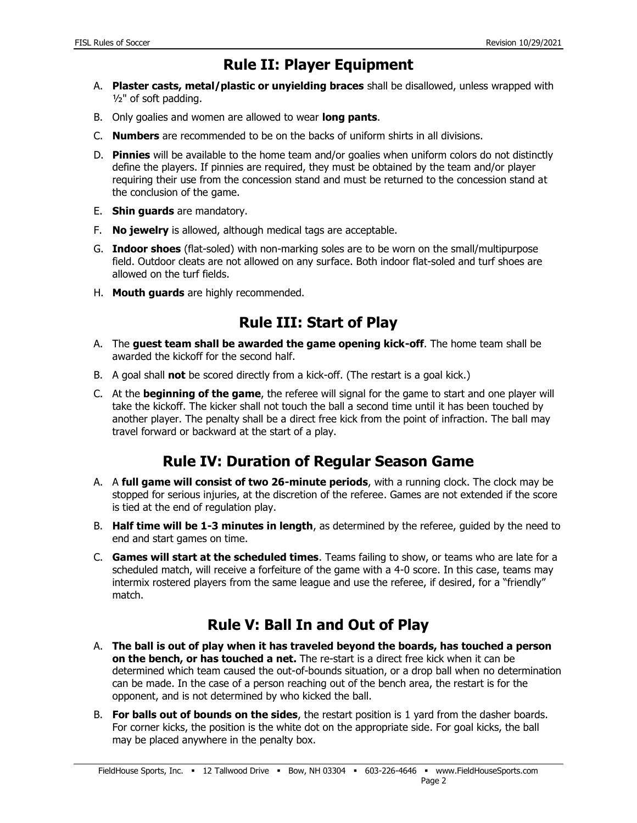### **Rule II: Player Equipment**

- A. **Plaster casts, metal/plastic or unyielding braces** shall be disallowed, unless wrapped with ½" of soft padding.
- B. Only goalies and women are allowed to wear **long pants**.
- C. **Numbers** are recommended to be on the backs of uniform shirts in all divisions.
- D. **Pinnies** will be available to the home team and/or goalies when uniform colors do not distinctly define the players. If pinnies are required, they must be obtained by the team and/or player requiring their use from the concession stand and must be returned to the concession stand at the conclusion of the game.
- E. **Shin guards** are mandatory.
- F. **No jewelry** is allowed, although medical tags are acceptable.
- G. **Indoor shoes** (flat-soled) with non-marking soles are to be worn on the small/multipurpose field. Outdoor cleats are not allowed on any surface. Both indoor flat-soled and turf shoes are allowed on the turf fields.
- H. **Mouth guards** are highly recommended.

## **Rule III: Start of Play**

- A. The **guest team shall be awarded the game opening kick-off**. The home team shall be awarded the kickoff for the second half.
- B. A goal shall **not** be scored directly from a kick-off. (The restart is a goal kick.)
- C. At the **beginning of the game**, the referee will signal for the game to start and one player will take the kickoff. The kicker shall not touch the ball a second time until it has been touched by another player. The penalty shall be a direct free kick from the point of infraction. The ball may travel forward or backward at the start of a play.

#### **Rule IV: Duration of Regular Season Game**

- A. A **full game will consist of two 26-minute periods**, with a running clock. The clock may be stopped for serious injuries, at the discretion of the referee. Games are not extended if the score is tied at the end of regulation play.
- B. **Half time will be 1-3 minutes in length**, as determined by the referee, guided by the need to end and start games on time.
- C. **Games will start at the scheduled times**. Teams failing to show, or teams who are late for a scheduled match, will receive a forfeiture of the game with a 4-0 score. In this case, teams may intermix rostered players from the same league and use the referee, if desired, for a "friendly" match.

# **Rule V: Ball In and Out of Play**

- A. **The ball is out of play when it has traveled beyond the boards, has touched a person on the bench, or has touched a net.** The re-start is a direct free kick when it can be determined which team caused the out-of-bounds situation, or a drop ball when no determination can be made. In the case of a person reaching out of the bench area, the restart is for the opponent, and is not determined by who kicked the ball.
- B. **For balls out of bounds on the sides**, the restart position is 1 yard from the dasher boards. For corner kicks, the position is the white dot on the appropriate side. For goal kicks, the ball may be placed anywhere in the penalty box.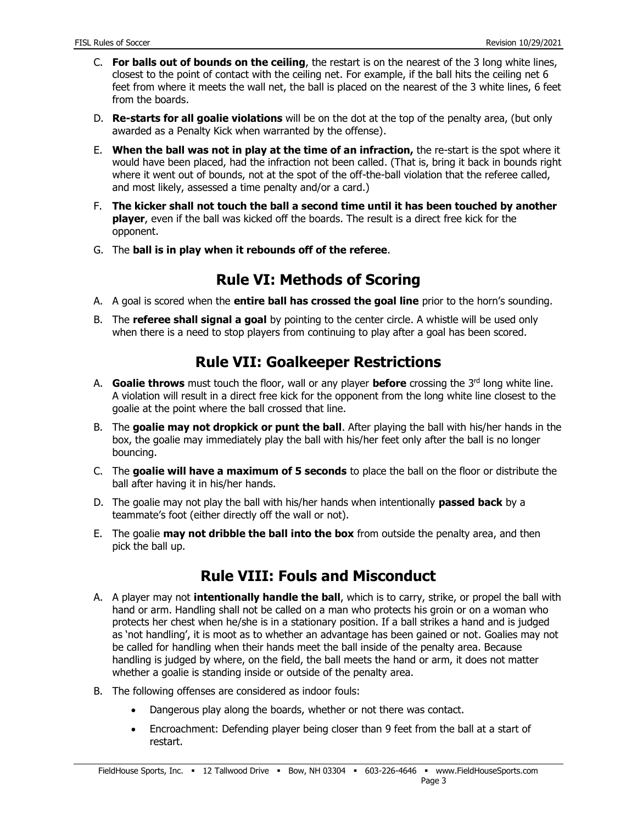- C. **For balls out of bounds on the ceiling**, the restart is on the nearest of the 3 long white lines, closest to the point of contact with the ceiling net. For example, if the ball hits the ceiling net 6 feet from where it meets the wall net, the ball is placed on the nearest of the 3 white lines, 6 feet from the boards.
- D. **Re-starts for all goalie violations** will be on the dot at the top of the penalty area, (but only awarded as a Penalty Kick when warranted by the offense).
- E. **When the ball was not in play at the time of an infraction,** the re-start is the spot where it would have been placed, had the infraction not been called. (That is, bring it back in bounds right where it went out of bounds, not at the spot of the off-the-ball violation that the referee called, and most likely, assessed a time penalty and/or a card.)
- F. **The kicker shall not touch the ball a second time until it has been touched by another player**, even if the ball was kicked off the boards. The result is a direct free kick for the opponent.
- G. The **ball is in play when it rebounds off of the referee**.

# **Rule VI: Methods of Scoring**

- A. A goal is scored when the **entire ball has crossed the goal line** prior to the horn's sounding.
- B. The **referee shall signal a goal** by pointing to the center circle. A whistle will be used only when there is a need to stop players from continuing to play after a goal has been scored.

## **Rule VII: Goalkeeper Restrictions**

- A. **Goalie throws** must touch the floor, wall or any player **before** crossing the 3<sup>rd</sup> long white line. A violation will result in a direct free kick for the opponent from the long white line closest to the goalie at the point where the ball crossed that line.
- B. The **goalie may not dropkick or punt the ball**. After playing the ball with his/her hands in the box, the goalie may immediately play the ball with his/her feet only after the ball is no longer bouncing.
- C. The **goalie will have a maximum of 5 seconds** to place the ball on the floor or distribute the ball after having it in his/her hands.
- D. The goalie may not play the ball with his/her hands when intentionally **passed back** by a teammate's foot (either directly off the wall or not).
- E. The goalie **may not dribble the ball into the box** from outside the penalty area, and then pick the ball up.

# **Rule VIII: Fouls and Misconduct**

- A. A player may not **intentionally handle the ball**, which is to carry, strike, or propel the ball with hand or arm. Handling shall not be called on a man who protects his groin or on a woman who protects her chest when he/she is in a stationary position. If a ball strikes a hand and is judged as 'not handling', it is moot as to whether an advantage has been gained or not. Goalies may not be called for handling when their hands meet the ball inside of the penalty area. Because handling is judged by where, on the field, the ball meets the hand or arm, it does not matter whether a goalie is standing inside or outside of the penalty area.
- B. The following offenses are considered as indoor fouls:
	- Dangerous play along the boards, whether or not there was contact.
	- Encroachment: Defending player being closer than 9 feet from the ball at a start of restart.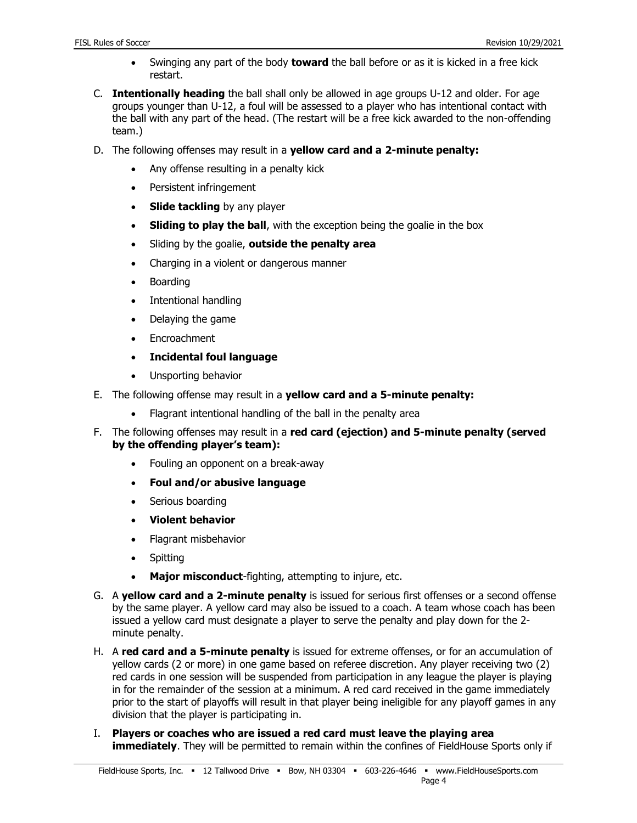- Swinging any part of the body **toward** the ball before or as it is kicked in a free kick restart.
- C. **Intentionally heading** the ball shall only be allowed in age groups U-12 and older. For age groups younger than U-12, a foul will be assessed to a player who has intentional contact with the ball with any part of the head. (The restart will be a free kick awarded to the non-offending team.)
- D. The following offenses may result in a **yellow card and a 2-minute penalty:**
	- Any offense resulting in a penalty kick
	- Persistent infringement
	- **Slide tackling** by any player
	- **Sliding to play the ball**, with the exception being the goalie in the box
	- Sliding by the goalie, **outside the penalty area**
	- Charging in a violent or dangerous manner
	- Boarding
	- Intentional handling
	- Delaying the game
	- Encroachment
	- **Incidental foul language**
	- Unsporting behavior
- E. The following offense may result in a **yellow card and a 5-minute penalty:**
	- Flagrant intentional handling of the ball in the penalty area
- F. The following offenses may result in a **red card (ejection) and 5-minute penalty (served by the offending player's team):**
	- Fouling an opponent on a break-away
	- **Foul and/or abusive language**
	- Serious boarding
	- **Violent behavior**
	- Flagrant misbehavior
	- Spitting
	- **Major misconduct**-fighting, attempting to injure, etc.
- G. A **yellow card and a 2-minute penalty** is issued for serious first offenses or a second offense by the same player. A yellow card may also be issued to a coach. A team whose coach has been issued a yellow card must designate a player to serve the penalty and play down for the 2 minute penalty.
- H. A **red card and a 5-minute penalty** is issued for extreme offenses, or for an accumulation of yellow cards (2 or more) in one game based on referee discretion. Any player receiving two (2) red cards in one session will be suspended from participation in any league the player is playing in for the remainder of the session at a minimum. A red card received in the game immediately prior to the start of playoffs will result in that player being ineligible for any playoff games in any division that the player is participating in.
- I. **Players or coaches who are issued a red card must leave the playing area immediately**. They will be permitted to remain within the confines of FieldHouse Sports only if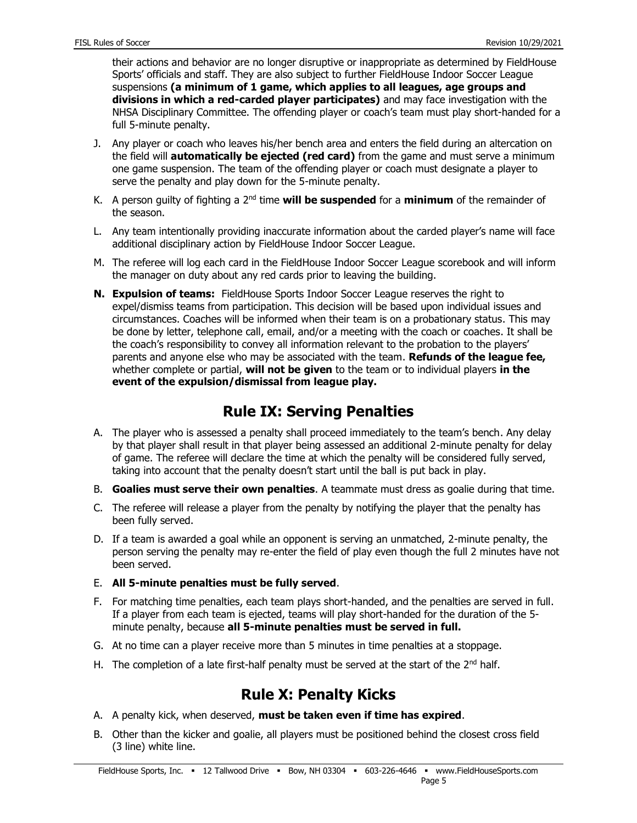their actions and behavior are no longer disruptive or inappropriate as determined by FieldHouse Sports' officials and staff. They are also subject to further FieldHouse Indoor Soccer League suspensions **(a minimum of 1 game, which applies to all leagues, age groups and divisions in which a red-carded player participates)** and may face investigation with the NHSA Disciplinary Committee. The offending player or coach's team must play short-handed for a full 5-minute penalty.

- J. Any player or coach who leaves his/her bench area and enters the field during an altercation on the field will **automatically be ejected (red card)** from the game and must serve a minimum one game suspension. The team of the offending player or coach must designate a player to serve the penalty and play down for the 5-minute penalty.
- K. A person guilty of fighting a 2nd time **will be suspended** for a **minimum** of the remainder of the season.
- L. Any team intentionally providing inaccurate information about the carded player's name will face additional disciplinary action by FieldHouse Indoor Soccer League.
- M. The referee will log each card in the FieldHouse Indoor Soccer League scorebook and will inform the manager on duty about any red cards prior to leaving the building.
- **N. Expulsion of teams:** FieldHouse Sports Indoor Soccer League reserves the right to expel/dismiss teams from participation. This decision will be based upon individual issues and circumstances. Coaches will be informed when their team is on a probationary status. This may be done by letter, telephone call, email, and/or a meeting with the coach or coaches. It shall be the coach's responsibility to convey all information relevant to the probation to the players' parents and anyone else who may be associated with the team. **Refunds of the league fee,** whether complete or partial, **will not be given** to the team or to individual players **in the event of the expulsion/dismissal from league play.**

#### **Rule IX: Serving Penalties**

- A. The player who is assessed a penalty shall proceed immediately to the team's bench. Any delay by that player shall result in that player being assessed an additional 2-minute penalty for delay of game. The referee will declare the time at which the penalty will be considered fully served, taking into account that the penalty doesn't start until the ball is put back in play.
- B. **Goalies must serve their own penalties**. A teammate must dress as goalie during that time.
- C. The referee will release a player from the penalty by notifying the player that the penalty has been fully served.
- D. If a team is awarded a goal while an opponent is serving an unmatched, 2-minute penalty, the person serving the penalty may re-enter the field of play even though the full 2 minutes have not been served.
- E. **All 5-minute penalties must be fully served**.
- F. For matching time penalties, each team plays short-handed, and the penalties are served in full. If a player from each team is ejected, teams will play short-handed for the duration of the 5minute penalty, because **all 5-minute penalties must be served in full.**
- G. At no time can a player receive more than 5 minutes in time penalties at a stoppage.
- H. The completion of a late first-half penalty must be served at the start of the  $2<sup>nd</sup>$  half.

#### **Rule X: Penalty Kicks**

- A. A penalty kick, when deserved, **must be taken even if time has expired**.
- B. Other than the kicker and goalie, all players must be positioned behind the closest cross field (3 line) white line.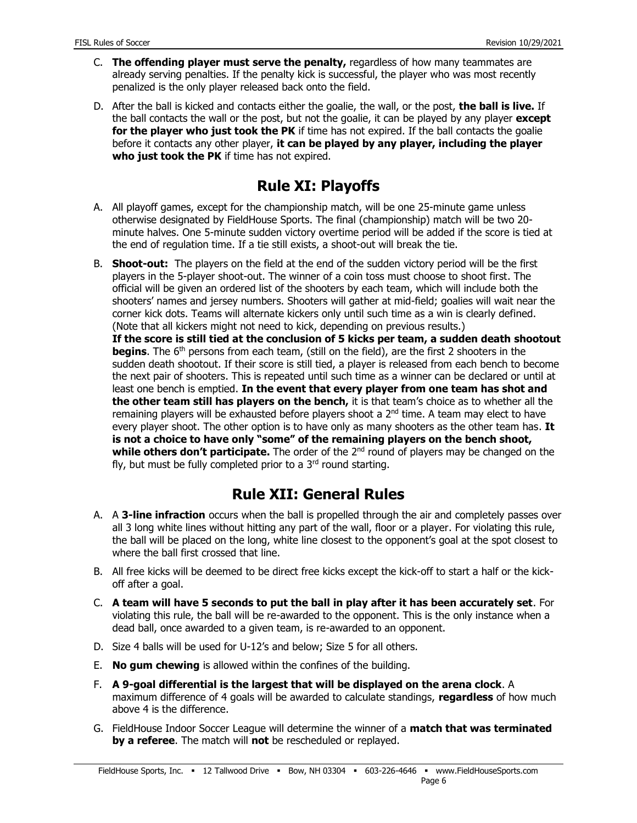- C. **The offending player must serve the penalty,** regardless of how many teammates are already serving penalties. If the penalty kick is successful, the player who was most recently penalized is the only player released back onto the field.
- D. After the ball is kicked and contacts either the goalie, the wall, or the post, **the ball is live.** If the ball contacts the wall or the post, but not the goalie, it can be played by any player **except for the player who just took the PK** if time has not expired. If the ball contacts the goalie before it contacts any other player, **it can be played by any player, including the player who just took the PK** if time has not expired.

# **Rule XI: Playoffs**

- A. All playoff games, except for the championship match, will be one 25-minute game unless otherwise designated by FieldHouse Sports. The final (championship) match will be two 20 minute halves. One 5-minute sudden victory overtime period will be added if the score is tied at the end of regulation time. If a tie still exists, a shoot-out will break the tie.
- B. **Shoot-out:** The players on the field at the end of the sudden victory period will be the first players in the 5-player shoot-out. The winner of a coin toss must choose to shoot first. The official will be given an ordered list of the shooters by each team, which will include both the shooters' names and jersey numbers. Shooters will gather at mid-field; goalies will wait near the corner kick dots. Teams will alternate kickers only until such time as a win is clearly defined. (Note that all kickers might not need to kick, depending on previous results.)

**If the score is still tied at the conclusion of 5 kicks per team, a sudden death shootout begins**. The 6<sup>th</sup> persons from each team, (still on the field), are the first 2 shooters in the sudden death shootout. If their score is still tied, a player is released from each bench to become the next pair of shooters. This is repeated until such time as a winner can be declared or until at least one bench is emptied. **In the event that every player from one team has shot and the other team still has players on the bench,** it is that team's choice as to whether all the remaining players will be exhausted before players shoot a  $2<sup>nd</sup>$  time. A team may elect to have every player shoot. The other option is to have only as many shooters as the other team has. **It is not a choice to have only "some" of the remaining players on the bench shoot, while others don't participate.** The order of the 2<sup>nd</sup> round of players may be changed on the fly, but must be fully completed prior to a  $3<sup>rd</sup>$  round starting.

# **Rule XII: General Rules**

- A. A **3-line infraction** occurs when the ball is propelled through the air and completely passes over all 3 long white lines without hitting any part of the wall, floor or a player. For violating this rule, the ball will be placed on the long, white line closest to the opponent's goal at the spot closest to where the ball first crossed that line.
- B. All free kicks will be deemed to be direct free kicks except the kick-off to start a half or the kickoff after a goal.
- C. **A team will have 5 seconds to put the ball in play after it has been accurately set**. For violating this rule, the ball will be re-awarded to the opponent. This is the only instance when a dead ball, once awarded to a given team, is re-awarded to an opponent.
- D. Size 4 balls will be used for U-12's and below; Size 5 for all others.
- E. **No gum chewing** is allowed within the confines of the building.
- F. **A 9-goal differential is the largest that will be displayed on the arena clock**. A maximum difference of 4 goals will be awarded to calculate standings, **regardless** of how much above 4 is the difference.
- G. FieldHouse Indoor Soccer League will determine the winner of a **match that was terminated by a referee**. The match will **not** be rescheduled or replayed.